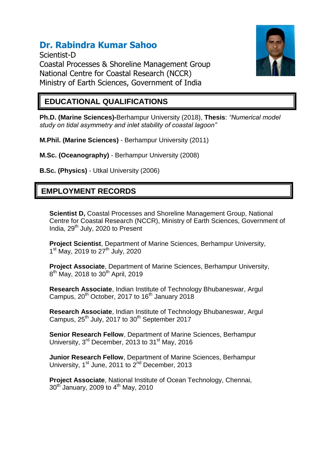# **Dr. Rabindra Kumar Sahoo**

Scientist-D Coastal Processes & Shoreline Management Group National Centre for Coastal Research (NCCR) Ministry of Earth Sciences, Government of India



### **EDUCATIONAL QUALIFICATIONS**

**Ph.D. (Marine Sciences)-**Berhampur University (2018), **Thesis**: *"Numerical model study on tidal asymmetry and inlet stability of coastal lagoon"*

**M.Phil. (Marine Sciences)** - Berhampur University (2011)

**M.Sc. (Oceanography)** - Berhampur University (2008)

**B.Sc. (Physics)** - Utkal University (2006)

## **EMPLOYMENT RECORDS**

**Scientist D,** Coastal Processes and Shoreline Management Group, National Centre for Coastal Research (NCCR), Ministry of Earth Sciences, Government of India, 29<sup>th</sup> July, 2020 to Present

**Project Scientist**, Department of Marine Sciences, Berhampur University, 1<sup>st</sup> May, 2019 to 27<sup>th</sup> July, 2020

**Project Associate**, Department of Marine Sciences, Berhampur University, 8<sup>th</sup> May, 2018 to 30<sup>th</sup> April, 2019

**Research Associate**, Indian Institute of Technology Bhubaneswar, Argul Campus,  $20^{th}$  October, 2017 to 16<sup>th</sup> January 2018

**Research Associate**, Indian Institute of Technology Bhubaneswar, Argul Campus,  $25^{th}$  July, 2017 to  $30^{th}$  September 2017

**Senior Research Fellow**, Department of Marine Sciences, Berhampur University,  $3^{rd}$  December, 2013 to  $31^{st}$  May, 2016

**Junior Research Fellow**, Department of Marine Sciences, Berhampur University, 1<sup>st</sup> June, 2011 to 2<sup>nd</sup> December, 2013

**Project Associate**, National Institute of Ocean Technology, Chennai, 30<sup>th</sup> January, 2009 to 4<sup>th</sup> May, 2010